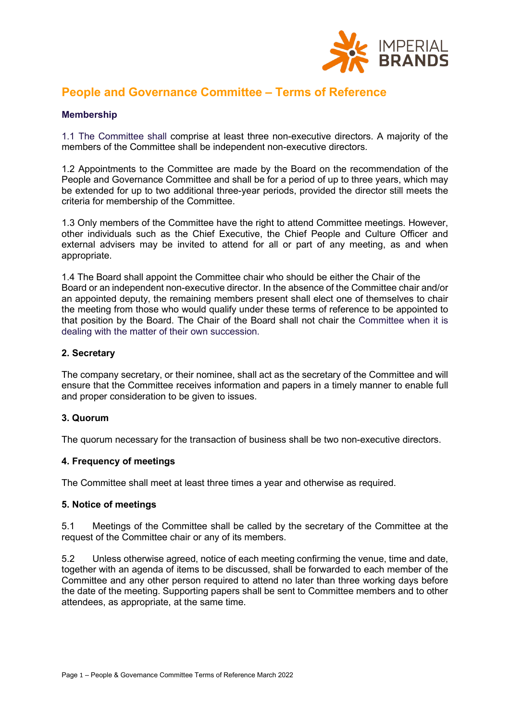

# **People and Governance Committee – Terms of Reference**

## **Membership**

1.1 The Committee shall comprise at least three non-executive directors. A majority of the members of the Committee shall be independent non-executive directors.

1.2 Appointments to the Committee are made by the Board on the recommendation of the People and Governance Committee and shall be for a period of up to three years, which may be extended for up to two additional three-year periods, provided the director still meets the criteria for membership of the Committee.

1.3 Only members of the Committee have the right to attend Committee meetings. However, other individuals such as the Chief Executive, the Chief People and Culture Officer and external advisers may be invited to attend for all or part of any meeting, as and when appropriate.

1.4 The Board shall appoint the Committee chair who should be either the Chair of the Board or an independent non-executive director. In the absence of the Committee chair and/or an appointed deputy, the remaining members present shall elect one of themselves to chair the meeting from those who would qualify under these terms of reference to be appointed to that position by the Board. The Chair of the Board shall not chair the Committee when it is dealing with the matter of their own succession.

### **2. Secretary**

The company secretary, or their nominee, shall act as the secretary of the Committee and will ensure that the Committee receives information and papers in a timely manner to enable full and proper consideration to be given to issues.

#### **3. Quorum**

The quorum necessary for the transaction of business shall be two non-executive directors.

#### **4. Frequency of meetings**

The Committee shall meet at least three times a year and otherwise as required.

#### **5. Notice of meetings**

5.1 Meetings of the Committee shall be called by the secretary of the Committee at the request of the Committee chair or any of its members.

5.2 Unless otherwise agreed, notice of each meeting confirming the venue, time and date, together with an agenda of items to be discussed, shall be forwarded to each member of the Committee and any other person required to attend no later than three working days before the date of the meeting. Supporting papers shall be sent to Committee members and to other attendees, as appropriate, at the same time.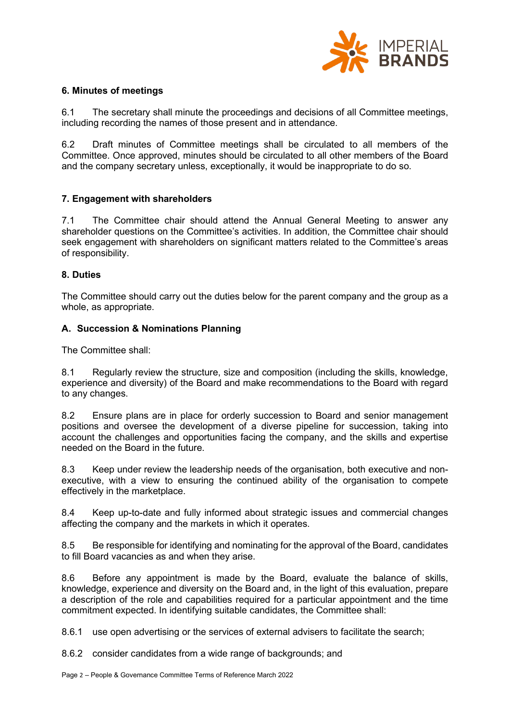

## **6. Minutes of meetings**

6.1 The secretary shall minute the proceedings and decisions of all Committee meetings, including recording the names of those present and in attendance.

6.2 Draft minutes of Committee meetings shall be circulated to all members of the Committee. Once approved, minutes should be circulated to all other members of the Board and the company secretary unless, exceptionally, it would be inappropriate to do so.

### **7. Engagement with shareholders**

7.1 The Committee chair should attend the Annual General Meeting to answer any shareholder questions on the Committee's activities. In addition, the Committee chair should seek engagement with shareholders on significant matters related to the Committee's areas of responsibility.

### **8. Duties**

The Committee should carry out the duties below for the parent company and the group as a whole, as appropriate.

### **A. Succession & Nominations Planning**

The Committee shall:

8.1 Regularly review the structure, size and composition (including the skills, knowledge, experience and diversity) of the Board and make recommendations to the Board with regard to any changes.

8.2 Ensure plans are in place for orderly succession to Board and senior management positions and oversee the development of a diverse pipeline for succession, taking into account the challenges and opportunities facing the company, and the skills and expertise needed on the Board in the future.

8.3 Keep under review the leadership needs of the organisation, both executive and nonexecutive, with a view to ensuring the continued ability of the organisation to compete effectively in the marketplace.

8.4 Keep up-to-date and fully informed about strategic issues and commercial changes affecting the company and the markets in which it operates.

8.5 Be responsible for identifying and nominating for the approval of the Board, candidates to fill Board vacancies as and when they arise.

8.6 Before any appointment is made by the Board, evaluate the balance of skills, knowledge, experience and diversity on the Board and, in the light of this evaluation, prepare a description of the role and capabilities required for a particular appointment and the time commitment expected. In identifying suitable candidates, the Committee shall:

8.6.1 use open advertising or the services of external advisers to facilitate the search;

8.6.2 consider candidates from a wide range of backgrounds; and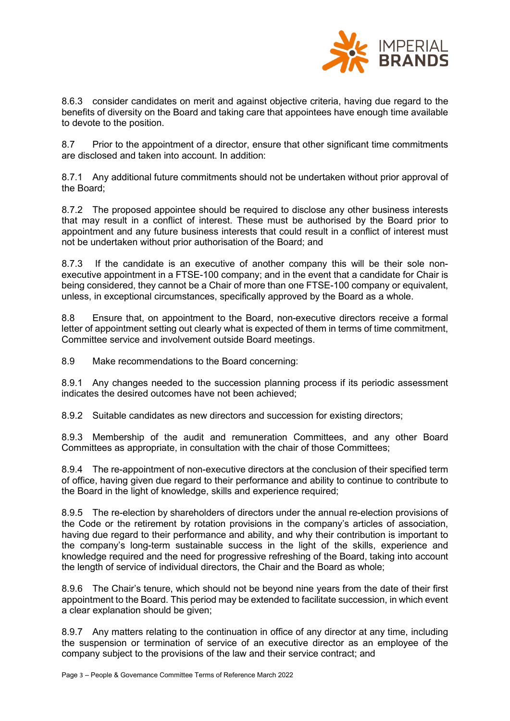

8.6.3 consider candidates on merit and against objective criteria, having due regard to the benefits of diversity on the Board and taking care that appointees have enough time available to devote to the position.

8.7 Prior to the appointment of a director, ensure that other significant time commitments are disclosed and taken into account. In addition:

8.7.1 Any additional future commitments should not be undertaken without prior approval of the Board;

8.7.2 The proposed appointee should be required to disclose any other business interests that may result in a conflict of interest. These must be authorised by the Board prior to appointment and any future business interests that could result in a conflict of interest must not be undertaken without prior authorisation of the Board; and

8.7.3 If the candidate is an executive of another company this will be their sole nonexecutive appointment in a FTSE-100 company; and in the event that a candidate for Chair is being considered, they cannot be a Chair of more than one FTSE-100 company or equivalent, unless, in exceptional circumstances, specifically approved by the Board as a whole.

8.8 Ensure that, on appointment to the Board, non-executive directors receive a formal letter of appointment setting out clearly what is expected of them in terms of time commitment, Committee service and involvement outside Board meetings.

8.9 Make recommendations to the Board concerning:

8.9.1 Any changes needed to the succession planning process if its periodic assessment indicates the desired outcomes have not been achieved;

8.9.2 Suitable candidates as new directors and succession for existing directors;

8.9.3 Membership of the audit and remuneration Committees, and any other Board Committees as appropriate, in consultation with the chair of those Committees;

8.9.4 The re-appointment of non-executive directors at the conclusion of their specified term of office, having given due regard to their performance and ability to continue to contribute to the Board in the light of knowledge, skills and experience required;

8.9.5 The re-election by shareholders of directors under the annual re-election provisions of the Code or the retirement by rotation provisions in the company's articles of association, having due regard to their performance and ability, and why their contribution is important to the company's long-term sustainable success in the light of the skills, experience and knowledge required and the need for progressive refreshing of the Board, taking into account the length of service of individual directors, the Chair and the Board as whole;

8.9.6 The Chair's tenure, which should not be beyond nine years from the date of their first appointment to the Board. This period may be extended to facilitate succession, in which event a clear explanation should be given;

8.9.7 Any matters relating to the continuation in office of any director at any time, including the suspension or termination of service of an executive director as an employee of the company subject to the provisions of the law and their service contract; and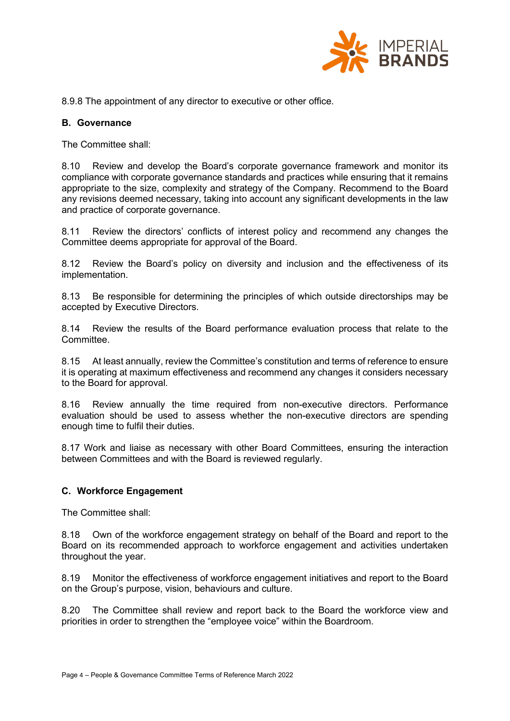

8.9.8 The appointment of any director to executive or other office.

# **B. Governance**

The Committee shall:

8.10 Review and develop the Board's corporate governance framework and monitor its compliance with corporate governance standards and practices while ensuring that it remains appropriate to the size, complexity and strategy of the Company. Recommend to the Board any revisions deemed necessary, taking into account any significant developments in the law and practice of corporate governance.

8.11 Review the directors' conflicts of interest policy and recommend any changes the Committee deems appropriate for approval of the Board.

8.12 Review the Board's policy on diversity and inclusion and the effectiveness of its implementation.

8.13 Be responsible for determining the principles of which outside directorships may be accepted by Executive Directors.

8.14 Review the results of the Board performance evaluation process that relate to the **Committee.** 

8.15 At least annually, review the Committee's constitution and terms of reference to ensure it is operating at maximum effectiveness and recommend any changes it considers necessary to the Board for approval.

8.16 Review annually the time required from non-executive directors. Performance evaluation should be used to assess whether the non-executive directors are spending enough time to fulfil their duties.

8.17 Work and liaise as necessary with other Board Committees, ensuring the interaction between Committees and with the Board is reviewed regularly.

# **C. Workforce Engagement**

The Committee shall:

8.18 Own of the workforce engagement strategy on behalf of the Board and report to the Board on its recommended approach to workforce engagement and activities undertaken throughout the year.

8.19 Monitor the effectiveness of workforce engagement initiatives and report to the Board on the Group's purpose, vision, behaviours and culture.

8.20 The Committee shall review and report back to the Board the workforce view and priorities in order to strengthen the "employee voice" within the Boardroom.